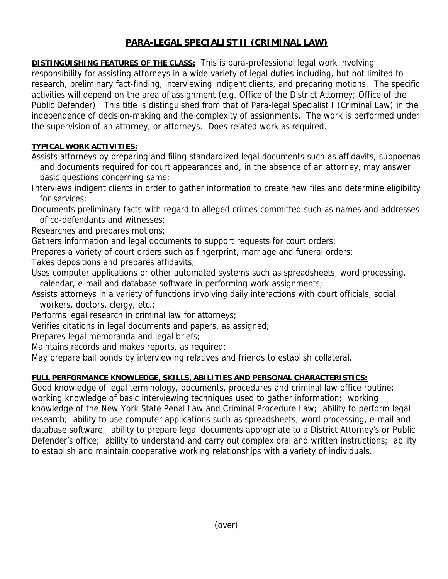## **PARA-LEGAL SPECIALIST II (CRIMINAL LAW)**

**DISTINGUISHING FEATURES OF THE CLASS:** This is para-professional legal work involving responsibility for assisting attorneys in a wide variety of legal duties including, but not limited to research, preliminary fact-finding, interviewing indigent clients, and preparing motions. The specific activities will depend on the area of assignment (e.g. Office of the District Attorney; Office of the Public Defender). This title is distinguished from that of Para-legal Specialist I (Criminal Law) in the independence of decision-making and the complexity of assignments. The work is performed under the supervision of an attorney, or attorneys. Does related work as required.

## **TYPICAL WORK ACTIVITIES:**

Assists attorneys by preparing and filing standardized legal documents such as affidavits, subpoenas and documents required for court appearances and, in the absence of an attorney, may answer basic questions concerning same;

- Interviews indigent clients in order to gather information to create new files and determine eligibility for services;
- Documents preliminary facts with regard to alleged crimes committed such as names and addresses of co-defendants and witnesses;

Researches and prepares motions;

Gathers information and legal documents to support requests for court orders;

Prepares a variety of court orders such as fingerprint, marriage and funeral orders;

Takes depositions and prepares affidavits;

- Uses computer applications or other automated systems such as spreadsheets, word processing, calendar, e-mail and database software in performing work assignments;
- Assists attorneys in a variety of functions involving daily interactions with court officials, social workers, doctors, clergy, etc.;

Performs legal research in criminal law for attorneys;

Verifies citations in legal documents and papers, as assigned;

Prepares legal memoranda and legal briefs;

Maintains records and makes reports, as required;

May prepare bail bonds by interviewing relatives and friends to establish collateral.

## **FULL PERFORMANCE KNOWLEDGE, SKILLS, ABILITIES AND PERSONAL CHARACTERISTICS:**

Good knowledge of legal terminology, documents, procedures and criminal law office routine; working knowledge of basic interviewing techniques used to gather information; working knowledge of the New York State Penal Law and Criminal Procedure Law; ability to perform legal research; ability to use computer applications such as spreadsheets, word processing, e-mail and database software; ability to prepare legal documents appropriate to a District Attorney's or Public Defender's office; ability to understand and carry out complex oral and written instructions; ability to establish and maintain cooperative working relationships with a variety of individuals.